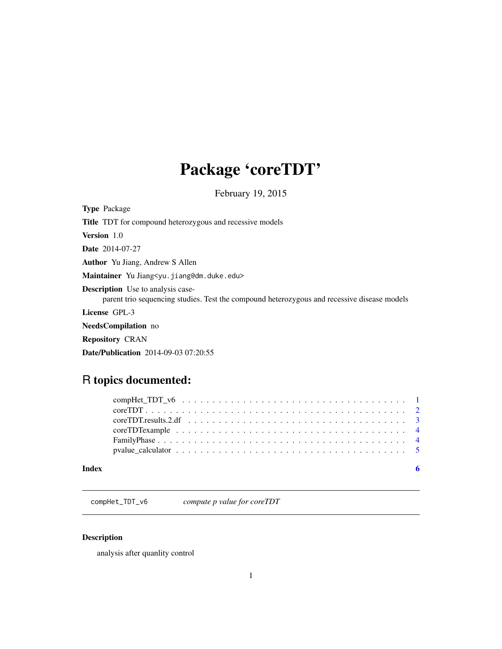# <span id="page-0-0"></span>Package 'coreTDT'

February 19, 2015

| <b>Type Package</b>                                                                                                                     |
|-----------------------------------------------------------------------------------------------------------------------------------------|
| <b>Title</b> TDT for compound heterozygous and recessive models                                                                         |
| <b>Version</b> 1.0                                                                                                                      |
| <b>Date</b> 2014-07-27                                                                                                                  |
| <b>Author</b> Yu Jiang, Andrew S Allen                                                                                                  |
| Maintainer Yu Jiang <yu.jiang@dm.duke.edu></yu.jiang@dm.duke.edu>                                                                       |
| <b>Description</b> Use to analysis case-<br>parent trio sequencing studies. Test the compound heterozygous and recessive disease models |
| License GPL-3                                                                                                                           |
| <b>NeedsCompilation</b> no                                                                                                              |
| <b>Repository CRAN</b>                                                                                                                  |
| <b>Date/Publication</b> 2014-09-03 07:20:55                                                                                             |

# R topics documented:

| pvalue calculator $\ldots \ldots \ldots \ldots \ldots \ldots \ldots \ldots \ldots \ldots \ldots \ldots$ |  |  |  |  |  |  |  |  |  |  |  |  |  |  |  |
|---------------------------------------------------------------------------------------------------------|--|--|--|--|--|--|--|--|--|--|--|--|--|--|--|

compHet\_TDT\_v6 *compute p value for coreTDT*

# Description

analysis after quanlity control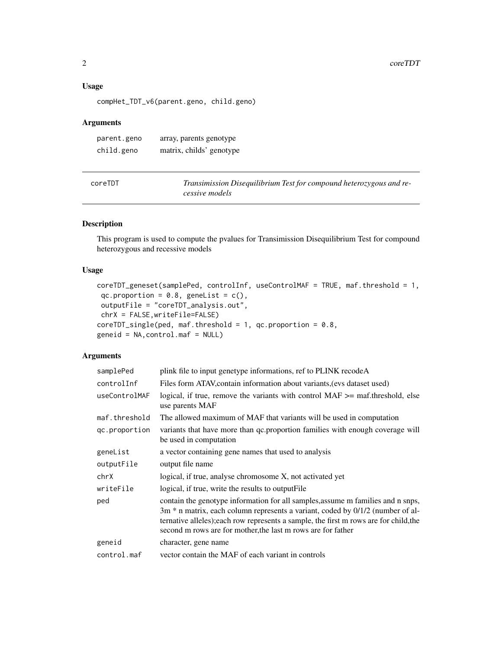# <span id="page-1-0"></span>Usage

compHet\_TDT\_v6(parent.geno, child.geno)

# Arguments

| parent.geno | array, parents genotype  |
|-------------|--------------------------|
| child.geno  | matrix, childs' genotype |

| coreTDT | Transimission Disequilibrium Test for compound heterozygous and re- |
|---------|---------------------------------------------------------------------|
|         | cessive models                                                      |

# Description

This program is used to compute the pvalues for Transimission Disequilibrium Test for compound heterozygous and recessive models

# Usage

```
coreTDT_geneset(samplePed, controlInf, useControlMAF = TRUE, maf.threshold = 1,
qc.proportion = 0.8, geneList = c(),
outputFile = "coreTDT_analysis.out",
chrX = FALSE,writeFile=FALSE)
coreTDT_single(ped, maf.threshold = 1, qc.proportion = 0.8,
geneid = NA,control.maf = NULL)
```
# Arguments

| samplePed     | plink file to input genetype informations, ref to PLINK recodeA                                                                                                                                                                                                                                                            |
|---------------|----------------------------------------------------------------------------------------------------------------------------------------------------------------------------------------------------------------------------------------------------------------------------------------------------------------------------|
| controlInf    | Files form ATAV, contain information about variants, (evs dataset used)                                                                                                                                                                                                                                                    |
| useControlMAF | logical, if true, remove the variants with control $MAF \geq$ maf.threshold, else<br>use parents MAF                                                                                                                                                                                                                       |
| maf.threshold | The allowed maximum of MAF that variants will be used in computation                                                                                                                                                                                                                                                       |
| qc.proportion | variants that have more than qc.proportion families with enough coverage will<br>be used in computation                                                                                                                                                                                                                    |
| geneList      | a vector containing gene names that used to analysis                                                                                                                                                                                                                                                                       |
| outputFile    | output file name                                                                                                                                                                                                                                                                                                           |
| chrX          | logical, if true, analyse chromosome X, not activated yet                                                                                                                                                                                                                                                                  |
| writeFile     | logical, if true, write the results to output File                                                                                                                                                                                                                                                                         |
| ped           | contain the genotype information for all samples, assume m families and n snps,<br>3m * n matrix, each column represents a variant, coded by 0/1/2 (number of al-<br>ternative alleles); each row represents a sample, the first m rows are for child, the<br>second m rows are for mother, the last m rows are for father |
| geneid        | character, gene name                                                                                                                                                                                                                                                                                                       |
| control.maf   | vector contain the MAF of each variant in controls                                                                                                                                                                                                                                                                         |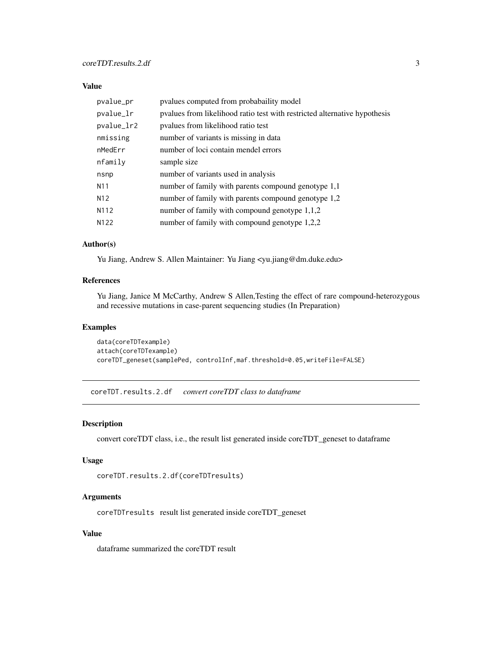# <span id="page-2-0"></span>Value

| pvalue_pr         | pvalues computed from probabaility model                                  |
|-------------------|---------------------------------------------------------------------------|
| pvalue_lr         | pvalues from likelihood ratio test with restricted alternative hypothesis |
| pvalue_lr2        | pyalues from likelihood ratio test                                        |
| nmissing          | number of variants is missing in data                                     |
| nMedErr           | number of loci contain mendel errors                                      |
| nfamily           | sample size                                                               |
| nsnp              | number of variants used in analysis                                       |
| N <sub>1</sub> 1  | number of family with parents compound genotype 1,1                       |
| N <sub>12</sub>   | number of family with parents compound genotype 1,2                       |
| N <sub>1</sub> 12 | number of family with compound genotype $1,1,2$                           |
| N <sub>1</sub> 22 | number of family with compound genotype 1,2,2                             |

#### Author(s)

Yu Jiang, Andrew S. Allen Maintainer: Yu Jiang <yu.jiang@dm.duke.edu>

# References

Yu Jiang, Janice M McCarthy, Andrew S Allen,Testing the effect of rare compound-heterozygous and recessive mutations in case-parent sequencing studies (In Preparation)

### Examples

```
data(coreTDTexample)
attach(coreTDTexample)
coreTDT_geneset(samplePed, controlInf,maf.threshold=0.05,writeFile=FALSE)
```
coreTDT.results.2.df *convert coreTDT class to dataframe*

### Description

convert coreTDT class, i.e., the result list generated inside coreTDT\_geneset to dataframe

#### Usage

```
coreTDT.results.2.df(coreTDTresults)
```
#### Arguments

coreTDTresults result list generated inside coreTDT\_geneset

# Value

dataframe summarized the coreTDT result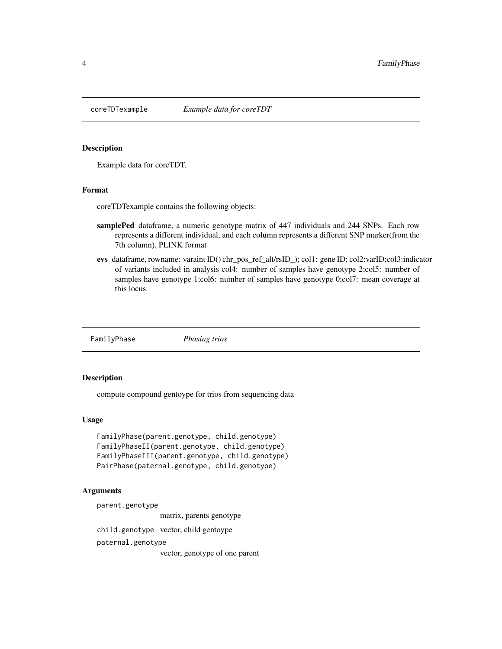<span id="page-3-0"></span>

# Description

Example data for coreTDT.

#### Format

coreTDTexample contains the following objects:

- samplePed dataframe, a numeric genotype matrix of 447 individuals and 244 SNPs. Each row represents a different individual, and each column represents a different SNP marker(from the 7th column), PLINK format
- evs dataframe, rowname: varaint ID() chr\_pos\_ref\_alt/rsID\_); col1: gene ID; col2:varID;col3:indicator of variants included in analysis col4: number of samples have genotype 2;col5: number of samples have genotype 1;col6: number of samples have genotype 0;col7: mean coverage at this locus

FamilyPhase *Phasing trios*

# Description

compute compound gentoype for trios from sequencing data

#### Usage

```
FamilyPhase(parent.genotype, child.genotype)
FamilyPhaseII(parent.genotype, child.genotype)
FamilyPhaseIII(parent.genotype, child.genotype)
PairPhase(paternal.genotype, child.genotype)
```
#### Arguments

parent.genotype

matrix, parents genotype

child.genotype vector, child gentoype

paternal.genotype

vector, genotype of one parent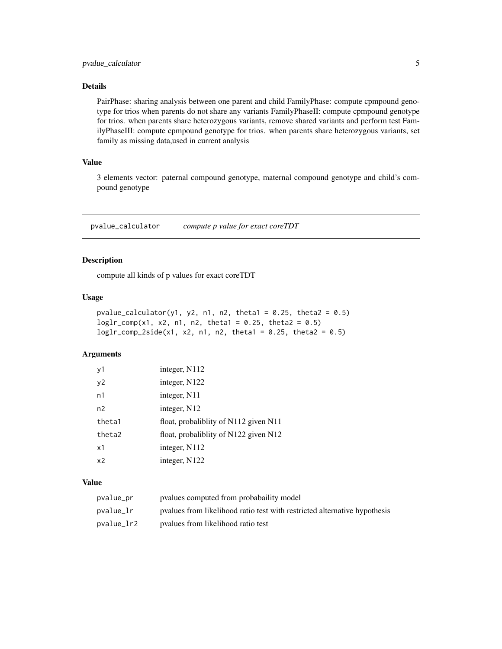# <span id="page-4-0"></span>Details

PairPhase: sharing analysis between one parent and child FamilyPhase: compute cpmpound genotype for trios when parents do not share any variants FamilyPhaseII: compute cpmpound genotype for trios. when parents share heterozygous variants, remove shared variants and perform test FamilyPhaseIII: compute cpmpound genotype for trios. when parents share heterozygous variants, set family as missing data,used in current analysis

# Value

3 elements vector: paternal compound genotype, maternal compound genotype and child's compound genotype

pvalue\_calculator *compute p value for exact coreTDT*

#### Description

compute all kinds of p values for exact coreTDT

# Usage

```
pvalue_calculator(y1, y2, n1, n2, theta1 = 0.25, theta2 = 0.5)
loglr_{comp}(x1, x2, n1, n2, theta1 = 0.25, theta2 = 0.5)loglr\_comp\_2side(x1, x2, n1, n2, theta1 = 0.25, theta2 = 0.5)
```
## Arguments

| y1             | integer, N112                         |
|----------------|---------------------------------------|
| y2             | integer, N122                         |
| n1             | integer, N11                          |
| n2             | integer, N12                          |
| theta1         | float, probaliblity of N112 given N11 |
| theta2         | float, probaliblity of N122 given N12 |
| x1             | integer, N112                         |
| x <sub>2</sub> | integer, N122                         |

# Value

| pvalue_pr  | pyalues computed from probabaility model                                  |
|------------|---------------------------------------------------------------------------|
| pvalue_lr  | pvalues from likelihood ratio test with restricted alternative hypothesis |
| pvalue_lr2 | pvalues from likelihood ratio test                                        |